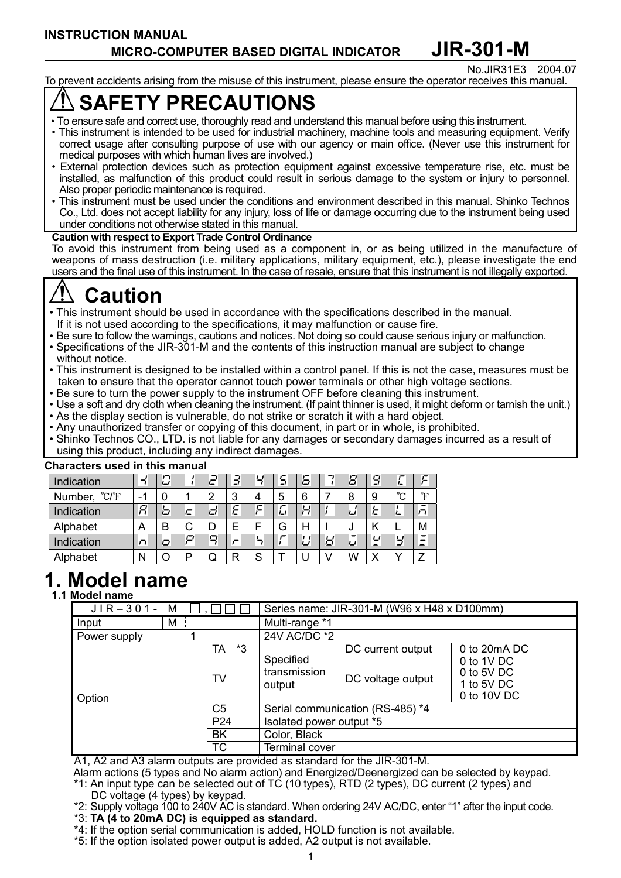#### No.JIR31E3 2004.07 To prevent accidents arising from the misuse of this instrument, please ensure the operator receives this manual.

# **SAFETY PRECAUTIONS**

- To ensure safe and correct use, thoroughly read and understand this manual before using this instrument.
- This instrument is intended to be used for industrial machinery, machine tools and measuring equipment. Verify correct usage after consulting purpose of use with our agency or main office. (Never use this instrument for medical purposes with which human lives are involved.)
- External protection devices such as protection equipment against excessive temperature rise, etc. must be installed, as malfunction of this product could result in serious damage to the system or injury to personnel. Also proper periodic maintenance is required.
- This instrument must be used under the conditions and environment described in this manual. Shinko Technos Co., Ltd. does not accept liability for any injury, loss of life or damage occurring due to the instrument being used under conditions not otherwise stated in this manual.

#### **Caution with respect to Export Trade Control Ordinance**

To avoid this instrument from being used as a component in, or as being utilized in the manufacture of weapons of mass destruction (i.e. military applications, military equipment, etc.), please investigate the end users and the final use of this instrument. In the case of resale, ensure that this instrument is not illegally exported.

# **Caution**

- This instrument should be used in accordance with the specifications described in the manual.
- If it is not used according to the specifications, it may malfunction or cause fire.
- Be sure to follow the warnings, cautions and notices. Not doing so could cause serious injury or malfunction.
- Specifications of the JIR-301-M and the contents of this instruction manual are subject to change without notice.
- This instrument is designed to be installed within a control panel. If this is not the case, measures must be taken to ensure that the operator cannot touch power terminals or other high voltage sections.
- Be sure to turn the power supply to the instrument OFF before cleaning this instrument.
- Use a soft and dry cloth when cleaning the instrument. (If paint thinner is used, it might deform or tarnish the unit.)
- As the display section is vulnerable, do not strike or scratch it with a hard object.
- Any unauthorized transfer or copying of this document, in part or in whole, is prohibited.
- Shinko Technos CO., LTD. is not liable for any damages or secondary damages incurred as a result of using this product, including any indirect damages.

| UNGI ALITIS USTU IN INIS MANUAI |                          |   |   |   |   |    |   |   |   |   |                               |         |   |
|---------------------------------|--------------------------|---|---|---|---|----|---|---|---|---|-------------------------------|---------|---|
| Indication                      | ⊣                        | O |   |   | Э | Ч  | 5 | 5 |   | 8 | 9                             | ட       | ⊆ |
| Number, °C/°F                   | $\overline{\phantom{0}}$ |   |   | ⌒ | 3 |    | 5 | 6 |   | 8 | 9                             | $\sim$  | ு |
| Indication                      | я                        | ь |   | o | Έ | c  | ப |   |   | ப | ε                             | ∽       |   |
| Alphabet                        | A                        | B | v |   |   |    | G |   |   |   |                               |         | M |
| Indication                      | n,                       | o | □ | o |   | ъ. |   |   | ы | J | ப<br>$\overline{\phantom{0}}$ | У       |   |
| Alphabet                        | N                        |   |   |   | R | S  |   |   |   | W | Х                             | $\cdot$ |   |

### **Characters used in this manual**

# **1. Model name**

# **1.1 Model name**

| $JIR-301-$<br>M |                 | Series name: JIR-301-M (W96 x H48 x D100mm)     |  |  |  |  |
|-----------------|-----------------|-------------------------------------------------|--|--|--|--|
| M<br>Input      |                 | Multi-range *1                                  |  |  |  |  |
| Power supply    |                 | 24V AC/DC *2                                    |  |  |  |  |
|                 | *3<br>TA        | 0 to 20mA DC<br>DC current output               |  |  |  |  |
|                 |                 | Specified<br>0 to 1V DC                         |  |  |  |  |
|                 | TV              | transmission<br>0 to 5V DC<br>DC voltage output |  |  |  |  |
|                 |                 | 1 to 5V DC<br>output                            |  |  |  |  |
| Option          |                 | 0 to 10V DC                                     |  |  |  |  |
|                 | C <sub>5</sub>  | Serial communication (RS-485) *4                |  |  |  |  |
|                 | P <sub>24</sub> | Isolated power output *5                        |  |  |  |  |
|                 | <b>BK</b>       | Color, Black                                    |  |  |  |  |
|                 | TC              | Terminal cover                                  |  |  |  |  |

A1, A2 and A3 alarm outputs are provided as standard for the JIR-301-M.

Alarm actions (5 types and No alarm action) and Energized/Deenergized can be selected by keypad. \*1: An input type can be selected out of TC (10 types), RTD (2 types), DC current (2 types) and

- DC voltage (4 types) by keypad.
- \*2: Supply voltage 100 to 240V AC is standard. When ordering 24V AC/DC, enter "1" after the input code.
- \*3: **TA (4 to 20mA DC) is equipped as standard.**
- \*4: If the option serial communication is added, HOLD function is not available.
- \*5: If the option isolated power output is added, A2 output is not available.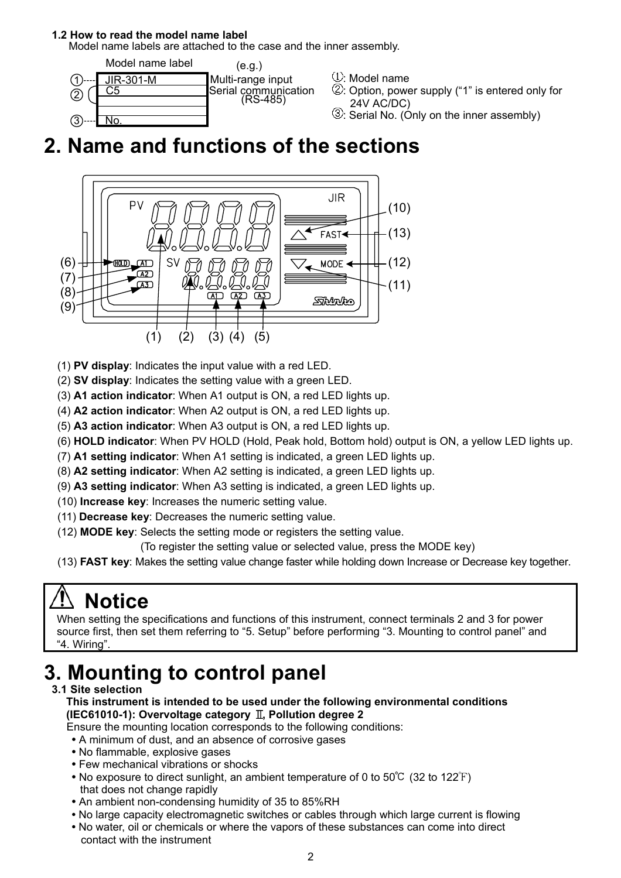## **1.2 How to read the model name label**

Model name labels are attached to the case and the inner assembly.



- 
- : Option, power supply ("1" is entered only for 24V AC/DC)
- : Serial No. (Only on the inner assembly)

# **2. Name and functions of the sections**



(1) **PV display**: Indicates the input value with a red LED.

- (2) **SV display**: Indicates the setting value with a green LED.
- (3) **A1 action indicator**: When A1 output is ON, a red LED lights up.
- (4) **A2 action indicator**: When A2 output is ON, a red LED lights up.
- (5) **A3 action indicator**: When A3 output is ON, a red LED lights up.
- (6) **HOLD indicator**: When PV HOLD (Hold, Peak hold, Bottom hold) output is ON, a yellow LED lights up.
- (7) **A1 setting indicator**: When A1 setting is indicated, a green LED lights up.
- (8) **A2 setting indicator**: When A2 setting is indicated, a green LED lights up.
- (9) **A3 setting indicator**: When A3 setting is indicated, a green LED lights up.
- (10) **Increase key**: Increases the numeric setting value.
- (11) **Decrease key**: Decreases the numeric setting value.
- (12) **MODE key**: Selects the setting mode or registers the setting value.
	- (To register the setting value or selected value, press the MODE key)
- (13) **FAST key**: Makes the setting value change faster while holding down Increase or Decrease key together.

# **Notice**

When setting the specifications and functions of this instrument, connect terminals 2 and 3 for power source first, then set them referring to "5. Setup" before performing "3. Mounting to control panel" and "4. Wiring".

# **3. Mounting to control panel**

# **3.1 Site selection**

- **This instrument is intended to be used under the following environmental conditions (IEC61010-1): Overvoltage category II, Pollution degree 2**
- Ensure the mounting location corresponds to the following conditions:
- A minimum of dust, and an absence of corrosive gases
- **•** No flammable, explosive gases
- Few mechanical vibrations or shocks
- No exposure to direct sunlight, an ambient temperature of 0 to 50°C (32 to 122°F) that does not change rapidly
- An ambient non-condensing humidity of 35 to 85%RH
- No large capacity electromagnetic switches or cables through which large current is flowing
- No water, oil or chemicals or where the vapors of these substances can come into direct contact with the instrument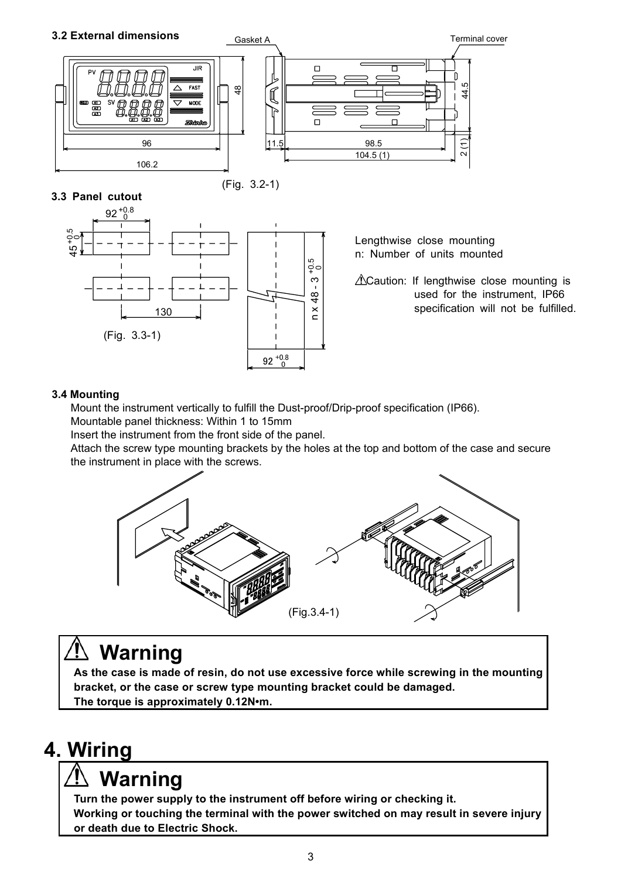# **3.2 External dimensions**



**3.3 Panel cutout** 

(Fig. 3.2-1)



 Lengthwise close mounting n: Number of units mounted

 $\infty$  |  $\Delta$ Caution: If lengthwise close mounting is  $\frac{\infty}{4}$  used for the instrument, IP66  $\sum_{n=1}^{\infty}$  specification will not be fulfilled.

# **3.4 Mounting**

Mount the instrument vertically to fulfill the Dust-proof/Drip-proof specification (IP66).

Mountable panel thickness: Within 1 to 15mm

Insert the instrument from the front side of the panel.

Attach the screw type mounting brackets by the holes at the top and bottom of the case and secure the instrument in place with the screws.



# **Warning**

**As the case is made of resin, do not use excessive force while screwing in the mounting bracket, or the case or screw type mounting bracket could be damaged. The torque is approximately 0.12N•m.**

# **4. Wiring**

# **Warning**

**Turn the power supply to the instrument off before wiring or checking it. Working or touching the terminal with the power switched on may result in severe injury or death due to Electric Shock.**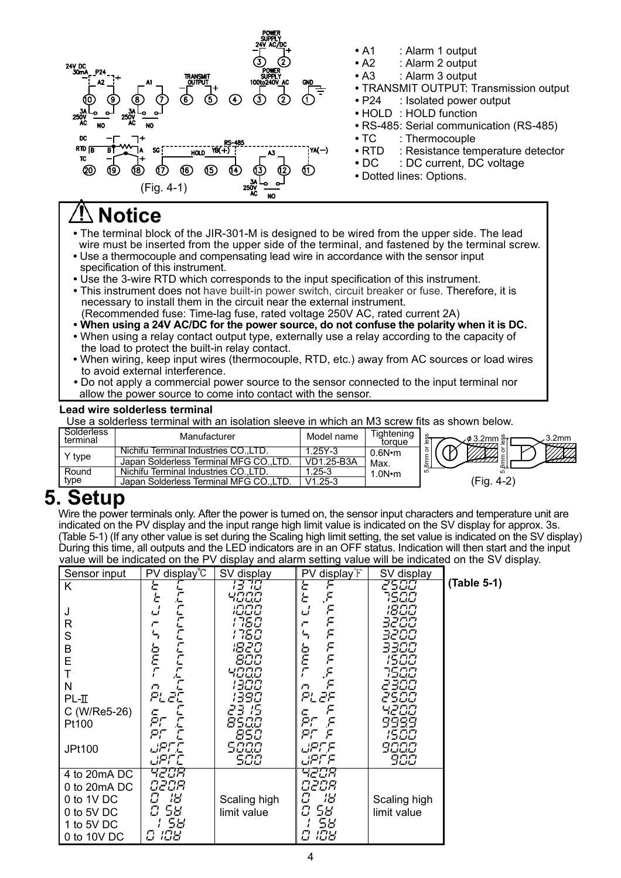

# **Notice**

- The terminal block of the JIR-301-M is designed to be wired from the upper side. The lead wire must be inserted from the upper side of the terminal, and fastened by the terminal screw.
- Use a thermocouple and compensating lead wire in accordance with the sensor input specification of this instrument.
- Use the 3-wire RTD which corresponds to the input specification of this instrument.
- This instrument does not have built-in power switch, circuit breaker or fuse. Therefore, it is necessary to install them in the circuit near the external instrument. (Recommended fuse: Time-lag fuse, rated voltage 250V AC, rated current 2A)
- 
- **When using a 24V AC/DC for the power source, do not confuse the polarity when it is DC. •** When using a relay contact output type, externally use a relay according to the capacity of the load to protect the built-in relay contact.
- When wiring, keep input wires (thermocouple, RTD, etc.) away from AC sources or load wires to avoid external interference.
- Do not apply a commercial power source to the sensor connected to the input terminal nor allow the power source to come into contact with the sensor.

#### **Lead wire solderless terminal**

Use a solderless terminal with an isolation sleeve in which an M3 screw fits as shown below.

| Solderless<br>terminal | Manufacturer                            | Model name | <b>Tightening</b><br>toraue | 3.2mm          |
|------------------------|-----------------------------------------|------------|-----------------------------|----------------|
|                        | Nichifu Terminal Industries COLTD.      | 25Y-3      | 0.6N•m                      |                |
| Y type                 | Japan Solderless Terminal MFG CO., LTD. | VD1.25-B3A | Max.                        | ന.             |
| Round                  | Nichifu Terminal Industries CO. LTD.    | .25-3      | .0 $N$ $\cdot$ m            |                |
| type                   | Japan Solderless Terminal MFG CO        | $.25 - 3$  |                             | Έig.<br>. 4-2` |

**5. Setup**<br>Wire the power terminals only. After the power is turned on, the sensor input characters and temperature unit are indicated on the PV display and the input range high limit value is indicated on the SV display for approx. 3s. (Table 5-1) (If any other value is set during the Scaling high limit setting, the set value is indicated on the SV display) During this time, all outputs and the LED indicators are in an OFF status. Indication will then start and the input value will be indicated on the PV display and alarm setting value will be indicated on the SV display.

**(Table 5-1)** 

| Sensor input                                                                          | PV display <sup>°</sup> C                                                      | SV display                                                                                            | PV display <sup>°</sup> F                                                                                                                      | SV display                                                                                                   |        |
|---------------------------------------------------------------------------------------|--------------------------------------------------------------------------------|-------------------------------------------------------------------------------------------------------|------------------------------------------------------------------------------------------------------------------------------------------------|--------------------------------------------------------------------------------------------------------------|--------|
| Κ<br>J<br>R<br>S<br>B<br>E<br>N<br>$PL-II$<br>C (W/Re5-26)<br>Pt100<br>JPt100         | Έ<br>と<br>C<br>ئی<br>r<br>ь<br>Ē<br>n<br>PLZE<br>c<br>PΓ<br>£<br>PF E<br>JPF.E | 13 70<br>1000<br>1750<br>1750<br>1820<br>800<br>чада<br>1300<br>1390<br>23 15<br>8500<br>850<br>500,0 | Έ<br>۴.<br>Е<br>F<br>ப<br>$\,\,\varepsilon$<br>F<br>F<br>F<br>F<br>F<br>b<br>E<br>F<br>n<br>PL 2F<br>۴<br>с<br>PΓ<br>F<br>PE F<br><i>JPF.F</i> | 2500<br>1500<br>1800<br>3200<br>3200<br>3300<br>1500<br>7500<br>2300<br>2500<br>4200<br>9999<br>1500<br>9000 | (Table |
| 4 to 20mA DC<br>0 to 20mA DC<br>0 to 1V DC<br>0 to 5V DC<br>1 to 5V DC<br>0 to 10V DC | upr c<br>4208<br>O2OR<br>18<br>Ω<br>Ω<br>58<br>58<br>108<br>C.                 | 500<br>Scaling high<br>limit value                                                                    | upr F<br>4208<br>O2OR<br>18<br>П<br>Ο<br>58<br>58<br>108                                                                                       | 900<br>Scaling high<br>limit value                                                                           |        |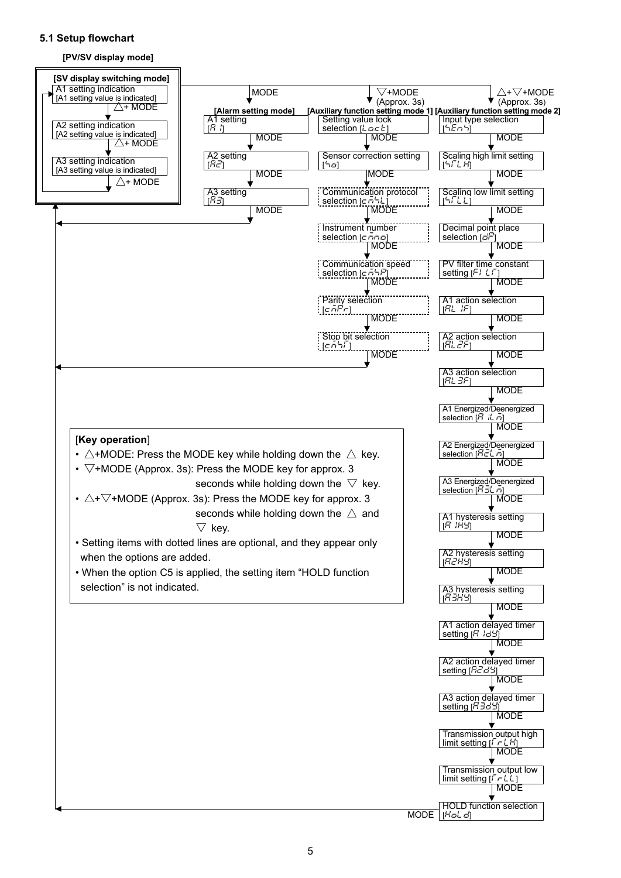# **5.1 Setup flowchart**





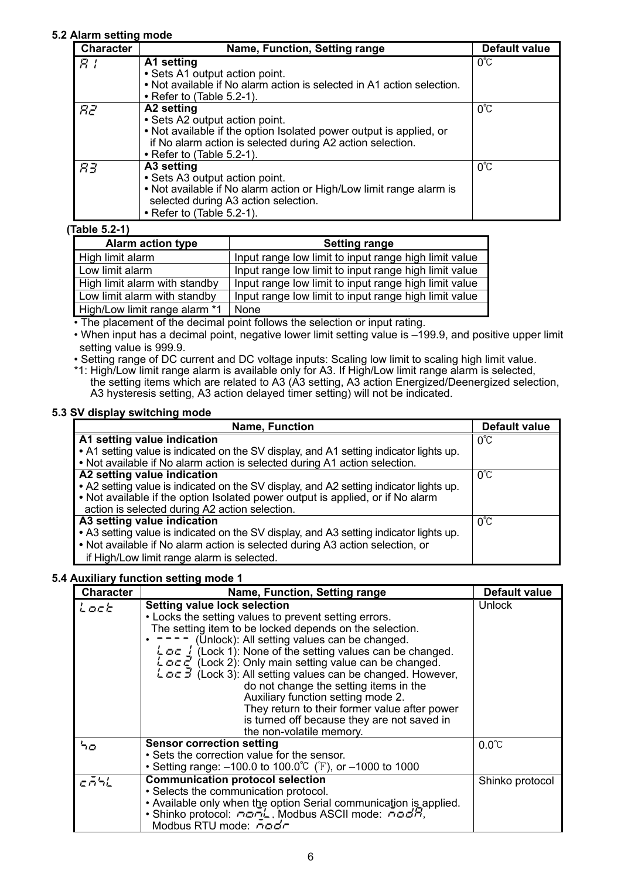# **5.2 Alarm setting mode**

| <b>Character</b> | Name, Function, Setting range                                                                                                                                                                                         | Default value |
|------------------|-----------------------------------------------------------------------------------------------------------------------------------------------------------------------------------------------------------------------|---------------|
| 8 I              | A1 setting<br>• Sets A1 output action point.<br>. Not available if No alarm action is selected in A1 action selection.<br>$\bullet$ Refer to (Table 5.2-1).                                                           | 0°C           |
| R2               | A2 setting<br>• Sets A2 output action point.<br>• Not available if the option Isolated power output is applied, or<br>if No alarm action is selected during A2 action selection.<br>$\bullet$ Refer to (Table 5.2-1). | 0°C           |
| RЗ               | A3 setting<br>• Sets A3 output action point.<br>• Not available if No alarm action or High/Low limit range alarm is<br>selected during A3 action selection.<br>$\bullet$ Refer to (Table 5.2-1).                      | $0^{\circ}$ C |

### **(Table 5.2-1)**

| <b>Alarm action type</b>      | <b>Setting range</b>                                  |
|-------------------------------|-------------------------------------------------------|
| High limit alarm              | Input range low limit to input range high limit value |
| Low limit alarm               | Input range low limit to input range high limit value |
| High limit alarm with standby | Input range low limit to input range high limit value |
| Low limit alarm with standby  | Input range low limit to input range high limit value |
| High/Low limit range alarm *1 | None                                                  |

• The placement of the decimal point follows the selection or input rating.

• When input has a decimal point, negative lower limit setting value is –199.9, and positive upper limit setting value is 999.9.

• Setting range of DC current and DC voltage inputs: Scaling low limit to scaling high limit value.

\*1: High/Low limit range alarm is available only for A3. If High/Low limit range alarm is selected, the setting items which are related to A3 (A3 setting, A3 action Energized/Deenergized selection, A3 hysteresis setting, A3 action delayed timer setting) will not be indicated.

### **5.3 SV display switching mode**

| <b>Name, Function</b>                                                                                                                                                | <b>Default value</b> |
|----------------------------------------------------------------------------------------------------------------------------------------------------------------------|----------------------|
| A1 setting value indication                                                                                                                                          | $0^{\circ}$ C        |
| • A1 setting value is indicated on the SV display, and A1 setting indicator lights up.<br>. Not available if No alarm action is selected during A1 action selection. |                      |
| A2 setting value indication                                                                                                                                          | 0°C                  |
| . A2 setting value is indicated on the SV display, and A2 setting indicator lights up.                                                                               |                      |
| . Not available if the option Isolated power output is applied, or if No alarm                                                                                       |                      |
| action is selected during A2 action selection.                                                                                                                       |                      |
| A3 setting value indication                                                                                                                                          | n°C                  |
| • A3 setting value is indicated on the SV display, and A3 setting indicator lights up.                                                                               |                      |
| • Not available if No alarm action is selected during A3 action selection, or                                                                                        |                      |
| if High/Low limit range alarm is selected.                                                                                                                           |                      |

### **5.4 Auxiliary function setting mode 1**

| <b>Character</b> | Name, Function, Setting range                                                                                                                                                                                                                                                                                                                                                                                                                                                                                                                                                                                                                                                     | <b>Default value</b> |
|------------------|-----------------------------------------------------------------------------------------------------------------------------------------------------------------------------------------------------------------------------------------------------------------------------------------------------------------------------------------------------------------------------------------------------------------------------------------------------------------------------------------------------------------------------------------------------------------------------------------------------------------------------------------------------------------------------------|----------------------|
| Lock             | <b>Setting value lock selection</b><br>• Locks the setting values to prevent setting errors.<br>The setting item to be locked depends on the selection.<br>(Unlock): All setting values can be changed.<br>$\frac{1}{2}$ $\sigma$ $\sigma$ $\frac{1}{2}$ (Lock 1): None of the setting values can be changed.<br>$L \circ \sigma \bar{c}$ (Lock 2): Only main setting value can be changed.<br>$L \circ \sigma$ (Lock 3): All setting values can be changed. However,<br>do not change the setting items in the<br>Auxiliary function setting mode 2.<br>They return to their former value after power<br>is turned off because they are not saved in<br>the non-volatile memory. | Unlock               |
| סל               | <b>Sensor correction setting</b><br>• Sets the correction value for the sensor.<br>• Setting range: $-100.0$ to $100.0^{\circ}$ (F), or $-1000$ to 1000                                                                                                                                                                                                                                                                                                                                                                                                                                                                                                                           | $0.0^{\circ}$ C      |
| cāhL             | <b>Communication protocol selection</b><br>• Selects the communication protocol.<br>• Available only when the option Serial communication is applied.<br>• Shinko protocol: nanL. Modbus ASCII mode: nadR,<br>Modbus RTU mode: nodr                                                                                                                                                                                                                                                                                                                                                                                                                                               | Shinko protocol      |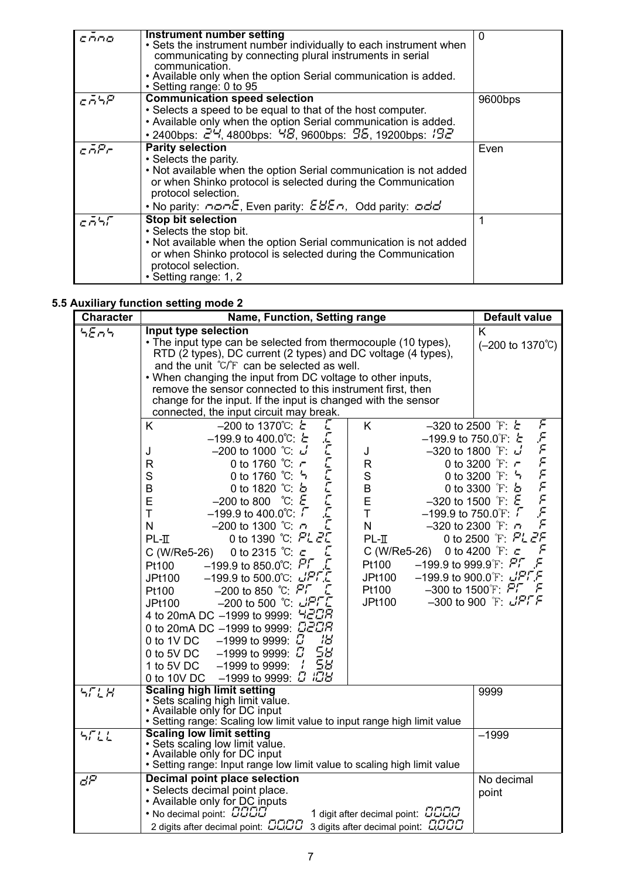| cono | Instrument number setting<br>• Sets the instrument number individually to each instrument when<br>communicating by connecting plural instruments in serial<br>communication.<br>• Available only when the option Serial communication is added.<br>• Setting range: 0 to 95                                                                                      | 0       |
|------|------------------------------------------------------------------------------------------------------------------------------------------------------------------------------------------------------------------------------------------------------------------------------------------------------------------------------------------------------------------|---------|
| cāSP | <b>Communication speed selection</b><br>• Selects a speed to be equal to that of the host computer.<br>• Available only when the option Serial communication is added.<br>• 2400bps: $24$ , 4800bps: $48$ , 9600bps: $95$ , 19200bps: $192$                                                                                                                      | 9600bps |
| caPr | <b>Parity selection</b><br>• Selects the parity.<br>. Not available when the option Serial communication is not added<br>or when Shinko protocol is selected during the Communication<br>protocol selection.<br>• No parity: $\sigma \sigma \sigma \mathcal{E}$ , Even parity: $\mathcal{E} \mathcal{B} \mathcal{E} \sigma$ , Odd parity: $\sigma \sigma \sigma$ | Even    |
| cāsr | <b>Stop bit selection</b><br>• Selects the stop bit.<br>. Not available when the option Serial communication is not added<br>or when Shinko protocol is selected during the Communication<br>protocol selection.<br>• Setting range: 1, 2                                                                                                                        |         |

# **5.5 Auxiliary function setting mode 2**

| <b>Character</b> | Name, Function, Setting range                                                                                                                                                                                                                                                                                                                                                                                                                                                                                                                                                                                                                                                                                                                                                                                                                                                                                                                                                                            | <b>Default value</b>                                                                                                                                                                                                                                                                                                                                                                                                                                                              |
|------------------|----------------------------------------------------------------------------------------------------------------------------------------------------------------------------------------------------------------------------------------------------------------------------------------------------------------------------------------------------------------------------------------------------------------------------------------------------------------------------------------------------------------------------------------------------------------------------------------------------------------------------------------------------------------------------------------------------------------------------------------------------------------------------------------------------------------------------------------------------------------------------------------------------------------------------------------------------------------------------------------------------------|-----------------------------------------------------------------------------------------------------------------------------------------------------------------------------------------------------------------------------------------------------------------------------------------------------------------------------------------------------------------------------------------------------------------------------------------------------------------------------------|
| SEAS             | Input type selection<br>• The input type can be selected from thermocouple (10 types),<br>RTD (2 types). DC current (2 types) and DC voltage (4 types),<br>and the unit °C/°F can be selected as well.<br>. When changing the input from DC voltage to other inputs,<br>remove the sensor connected to this instrument first, then<br>change for the input. If the input is changed with the sensor<br>connected, the input circuit may break.                                                                                                                                                                                                                                                                                                                                                                                                                                                                                                                                                           | K<br>$(-200 \text{ to } 1370^{\circ} \text{C})$                                                                                                                                                                                                                                                                                                                                                                                                                                   |
|                  | С<br>K.<br>$-200$ to 1370℃: $\epsilon$<br>K<br>רזרזרזרז<br>$-199.9$ to 400.0℃: $\epsilon$<br>$-200$ to 1000 ℃ $\cup$<br>J<br>J<br>$\mathsf{R}$<br>0 to 1760 $°C: r$<br>R<br>$\mathbf S$<br>$\mathbf S$<br>0 to 1760 ℃: 5<br>B<br>0 to 1820 $°C$ b<br>B<br>$-200$ to 800 °C $\epsilon$<br>E<br>E<br>$-199.9$ to $400.0^{\circ}$ C: $\sqrt{ }$<br>T<br>$\mathsf T$<br>E<br>$-200$ to 1300 ℃ $-7$<br>N<br>$\mathsf{N}$<br>0 to 1390 ℃: PL 2<br>$PL-II$<br>$PL-II$<br>0 to 2315 $°C: c$<br>C (W/Re5-26)<br>C (W/Re5-26)<br>$-199.9$ to 850.0°C: $P1$<br>Pt100<br>Pt100<br>$-199.9$ to 500.0℃ $L$ PFE<br>JPt100<br>JPt100<br>Pt100<br>$-200$ to 850 °C: $\overline{P1}$<br>Pt100<br>L<br>$-200$ to 500 °C: $LPTC$<br><b>JPt100</b><br>JPt100<br>4 to 20mA DC -1999 to 9999: 420R<br>0 to 20mA DC -1999 to 9999: C2CR<br>18<br>0 to 1V DC $-1999$ to 9999: $\vec{u}$<br>58<br>0 to 5V DC $-1999$ to 9999: $\[\Box\]$<br>58<br>$-1999$ to 9999: $\frac{1}{2}$<br>1 to 5V DC<br>0 to 10V DC -1999 to 9999: 0 IOB | F<br>$-320$ to 2500 F: $\epsilon$<br>FFFFFFFFF<br>$-199.9$ to 750.0 F: $\epsilon$<br>$-320$ to 1800 F: J<br>0 to 3200 F: r<br>0 to 3200 F: 5<br>0 to 3300 F: b<br>$-320$ to 1500 F: $\epsilon$<br>$-199.9$ to 750.0 F: $\sqrt{ }$<br>$-320$ to 2300 F: $\tau$<br>0 to 2500 F. PL 2F<br>F<br>0 to 4200 $\degree$ F: $\subset$<br>$-199.9$ to 999.9 <sup>°</sup> F: $P^{\dagger}$<br>F<br>$-199.9$ to 900.0 F $LPF$<br>$-300$ to 1500 F: $P\Gamma$<br>r-<br>$-300$ to 900 F $L$ PFF |
| SELH             | <b>Scaling high limit setting</b><br>· Sets scaling high limit value.<br>• Available only for DC input<br>• Setting range: Scaling low limit value to input range high limit value                                                                                                                                                                                                                                                                                                                                                                                                                                                                                                                                                                                                                                                                                                                                                                                                                       | 9999                                                                                                                                                                                                                                                                                                                                                                                                                                                                              |
| 5711             | <b>Scaling low limit setting</b><br>· Sets scaling low limit value.<br>• Available only for DC input<br>• Setting range: Input range low limit value to scaling high limit value                                                                                                                                                                                                                                                                                                                                                                                                                                                                                                                                                                                                                                                                                                                                                                                                                         | $-1999$                                                                                                                                                                                                                                                                                                                                                                                                                                                                           |
| đΡ               | Decimal point place selection<br>· Selects decimal point place.<br>• Available only for DC inputs<br>1 digit after decimal point: DDDD<br>• No decimal point: CCCC<br>2 digits after decimal point: DDDD<br>3 digits after decimal point: QOOD                                                                                                                                                                                                                                                                                                                                                                                                                                                                                                                                                                                                                                                                                                                                                           | No decimal<br>point                                                                                                                                                                                                                                                                                                                                                                                                                                                               |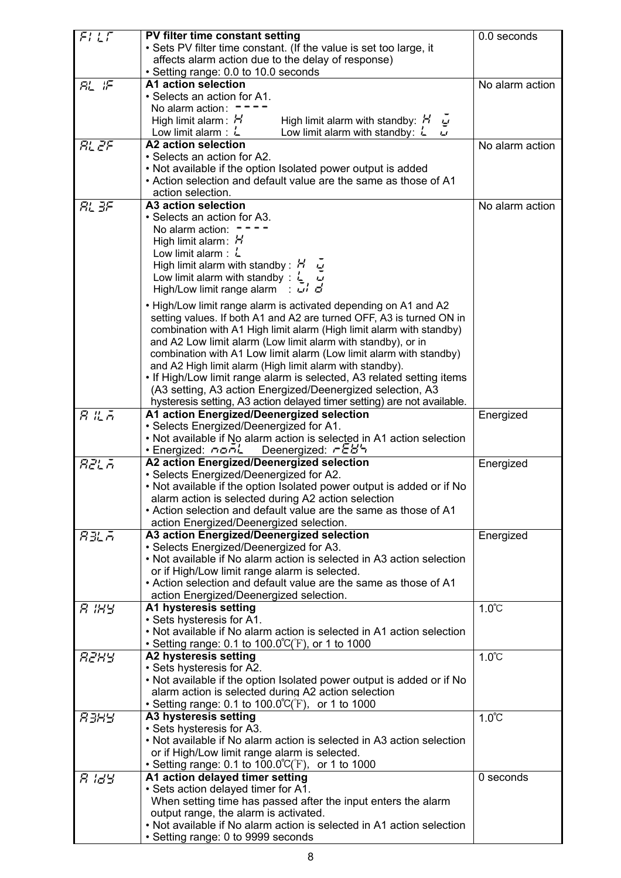| FILT   | PV filter time constant setting                                                      | 0.0 seconds     |
|--------|--------------------------------------------------------------------------------------|-----------------|
|        | • Sets PV filter time constant. (If the value is set too large, it                   |                 |
|        | affects alarm action due to the delay of response)                                   |                 |
|        |                                                                                      |                 |
|        | • Setting range: 0.0 to 10.0 seconds                                                 |                 |
| AL IF  | A1 action selection                                                                  | No alarm action |
|        | • Selects an action for A1.                                                          |                 |
|        | No alarm action:                                                                     |                 |
|        | High limit alarm: H<br>High limit alarm with standby: $H$<br>$\overline{\mathbf{r}}$ |                 |
|        | Low limit alarm with standby: $L$<br>Low limit alarm : $L$<br>ப                      |                 |
| RL 2F  | A2 action selection                                                                  | No alarm action |
|        | • Selects an action for A2.                                                          |                 |
|        | • Not available if the option Isolated power output is added                         |                 |
|        | • Action selection and default value are the same as those of A1                     |                 |
|        | action selection.                                                                    |                 |
| RL 3F  | A3 action selection                                                                  | No alarm action |
|        | • Selects an action for A3.                                                          |                 |
|        | No alarm action:                                                                     |                 |
|        | High limit alarm: $H$                                                                |                 |
|        | Low limit alarm : $L$                                                                |                 |
|        | High limit alarm with standby : $H \tilde{\omega}$                                   |                 |
|        | Low limit alarm with standby : $\frac{1}{2}$                                         |                 |
|        | High/Low limit range alarm : $\overrightarrow{u}$ d                                  |                 |
|        |                                                                                      |                 |
|        | . High/Low limit range alarm is activated depending on A1 and A2                     |                 |
|        | setting values. If both A1 and A2 are turned OFF, A3 is turned ON in                 |                 |
|        | combination with A1 High limit alarm (High limit alarm with standby)                 |                 |
|        | and A2 Low limit alarm (Low limit alarm with standby), or in                         |                 |
|        | combination with A1 Low limit alarm (Low limit alarm with standby)                   |                 |
|        | and A2 High limit alarm (High limit alarm with standby).                             |                 |
|        | . If High/Low limit range alarm is selected, A3 related setting items                |                 |
|        | (A3 setting, A3 action Energized/Deenergized selection, A3                           |                 |
|        | hysteresis setting, A3 action delayed timer setting) are not available.              |                 |
| ន របូគ | A1 action Energized/Deenergized selection                                            | Energized       |
|        | · Selects Energized/Deenergized for A1.                                              |                 |
|        | • Not available if No alarm action is selected in A1 action selection                |                 |
|        | • Energized: nonL Deenergized: r EB5                                                 |                 |
| AZLA   | A2 action Energized/Deenergized selection                                            | Energized       |
|        | • Selects Energized/Deenergized for A2.                                              |                 |
|        | . Not available if the option Isolated power output is added or if No                |                 |
|        | alarm action is selected during A2 action selection                                  |                 |
|        | • Action selection and default value are the same as those of A1                     |                 |
|        | action Energized/Deenergized selection.                                              |                 |
| 83L A  | A3 action Energized/Deenergized selection                                            | Energized       |
|        | • Selects Energized/Deenergized for A3.                                              |                 |
|        | • Not available if No alarm action is selected in A3 action selection                |                 |
|        | or if High/Low limit range alarm is selected.                                        |                 |
|        | • Action selection and default value are the same as those of A1                     |                 |
|        | action Energized/Deenergized selection.                                              |                 |
| я інн  | A1 hysteresis setting                                                                | $1.0^{\circ}$ C |
|        | • Sets hysteresis for A1.                                                            |                 |
|        | • Not available if No alarm action is selected in A1 action selection                |                 |
|        | • Setting range: 0.1 to 100.0°C(°F), or 1 to 1000                                    |                 |
|        |                                                                                      |                 |
| RZHY   | A2 hysteresis setting                                                                | $1.0^{\circ}$ C |
|        | • Sets hysteresis for A2.                                                            |                 |
|        | . Not available if the option Isolated power output is added or if No                |                 |
|        | alarm action is selected during A2 action selection                                  |                 |
|        | • Setting range: 0.1 to $100.0^{\circ}C(F)$ , or 1 to 1000                           |                 |
| язны   | A3 hysteresis setting                                                                | $1.0^{\circ}$ C |
|        | • Sets hysteresis for A3.                                                            |                 |
|        | . Not available if No alarm action is selected in A3 action selection                |                 |
|        | or if High/Low limit range alarm is selected.                                        |                 |
|        | • Setting range: 0.1 to $100.0^{\circ}$ (F), or 1 to 1000                            |                 |
| 8 IBB  | A1 action delayed timer setting                                                      | 0 seconds       |
|        | . Sets action delayed timer for A1.                                                  |                 |
|        | When setting time has passed after the input enters the alarm                        |                 |
|        | output range, the alarm is activated.                                                |                 |
|        | • Not available if No alarm action is selected in A1 action selection                |                 |
|        | • Setting range: 0 to 9999 seconds                                                   |                 |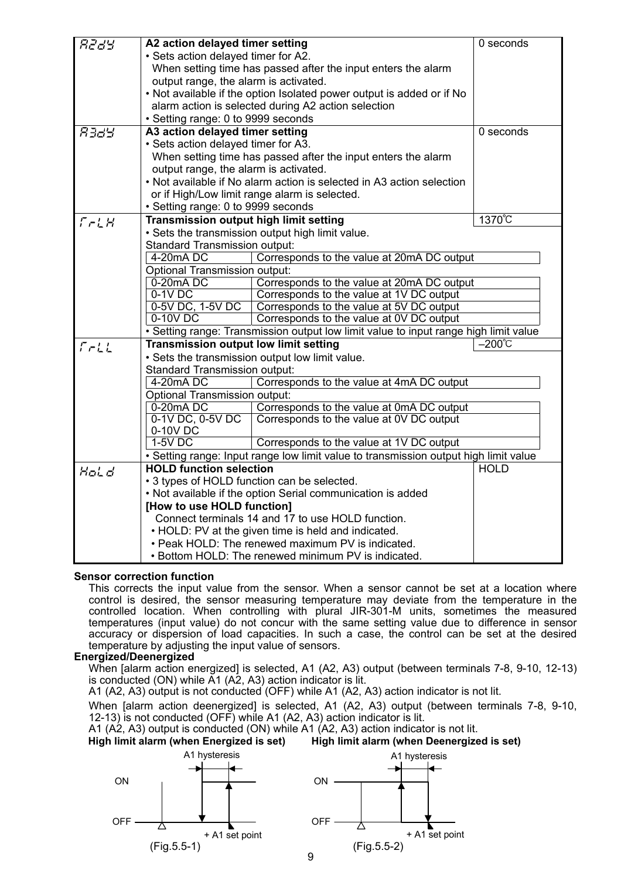| <i>R289</i> | A2 action delayed timer setting                                       |                                                                                      | 0 seconds   |  |  |  |  |
|-------------|-----------------------------------------------------------------------|--------------------------------------------------------------------------------------|-------------|--|--|--|--|
|             | · Sets action delayed timer for A2.                                   |                                                                                      |             |  |  |  |  |
|             |                                                                       | When setting time has passed after the input enters the alarm                        |             |  |  |  |  |
|             | output range, the alarm is activated.                                 |                                                                                      |             |  |  |  |  |
|             | . Not available if the option Isolated power output is added or if No |                                                                                      |             |  |  |  |  |
|             | alarm action is selected during A2 action selection                   |                                                                                      |             |  |  |  |  |
|             | • Setting range: 0 to 9999 seconds                                    |                                                                                      |             |  |  |  |  |
| 8389        | A3 action delayed timer setting                                       |                                                                                      | 0 seconds   |  |  |  |  |
|             | • Sets action delayed timer for A3.                                   |                                                                                      |             |  |  |  |  |
|             |                                                                       | When setting time has passed after the input enters the alarm                        |             |  |  |  |  |
|             | output range, the alarm is activated.                                 |                                                                                      |             |  |  |  |  |
|             |                                                                       | • Not available if No alarm action is selected in A3 action selection                |             |  |  |  |  |
|             |                                                                       | or if High/Low limit range alarm is selected.                                        |             |  |  |  |  |
|             | • Setting range: 0 to 9999 seconds                                    |                                                                                      |             |  |  |  |  |
| $T-LH$      | <b>Transmission output high limit setting</b>                         |                                                                                      | 1370°C      |  |  |  |  |
|             |                                                                       | • Sets the transmission output high limit value.                                     |             |  |  |  |  |
|             | <b>Standard Transmission output:</b>                                  |                                                                                      |             |  |  |  |  |
|             | 4-20mA DC                                                             | Corresponds to the value at 20mA DC output                                           |             |  |  |  |  |
|             | Optional Transmission output:                                         |                                                                                      |             |  |  |  |  |
|             | 0-20mA DC                                                             | Corresponds to the value at 20mA DC output                                           |             |  |  |  |  |
|             | $0-1V$ DC                                                             | Corresponds to the value at 1V DC output                                             |             |  |  |  |  |
|             | 0-5V DC, 1-5V DC                                                      | Corresponds to the value at 5V DC output                                             |             |  |  |  |  |
|             | $0-10V$ DC                                                            | Corresponds to the value at 0V DC output                                             |             |  |  |  |  |
|             |                                                                       | • Setting range: Transmission output low limit value to input range high limit value |             |  |  |  |  |
| $5 - 11$    | <b>Transmission output low limit setting</b>                          |                                                                                      | –200℃       |  |  |  |  |
|             |                                                                       | . Sets the transmission output low limit value.                                      |             |  |  |  |  |
|             | <b>Standard Transmission output:</b>                                  |                                                                                      |             |  |  |  |  |
|             | 4-20mA DC                                                             | Corresponds to the value at 4mA DC output                                            |             |  |  |  |  |
|             | <b>Optional Transmission output:</b>                                  |                                                                                      |             |  |  |  |  |
|             | 0-20mADC                                                              | Corresponds to the value at 0mA DC output                                            |             |  |  |  |  |
|             | 0-1V DC, 0-5V DC                                                      | Corresponds to the value at 0V DC output                                             |             |  |  |  |  |
|             | 0-10V DC                                                              |                                                                                      |             |  |  |  |  |
|             | $1-5V$ DC                                                             | Corresponds to the value at 1V DC output                                             |             |  |  |  |  |
|             |                                                                       | • Setting range: Input range low limit value to transmission output high limit value |             |  |  |  |  |
| Hold        | <b>HOLD function selection</b>                                        |                                                                                      | <b>HOLD</b> |  |  |  |  |
|             |                                                                       | • 3 types of HOLD function can be selected.                                          |             |  |  |  |  |
|             |                                                                       | . Not available if the option Serial communication is added                          |             |  |  |  |  |
|             | [How to use HOLD function]                                            |                                                                                      |             |  |  |  |  |
|             |                                                                       | Connect terminals 14 and 17 to use HOLD function.                                    |             |  |  |  |  |
|             |                                                                       | • HOLD: PV at the given time is held and indicated.                                  |             |  |  |  |  |
|             |                                                                       | • Peak HOLD: The renewed maximum PV is indicated.                                    |             |  |  |  |  |
|             | . Bottom HOLD: The renewed minimum PV is indicated.                   |                                                                                      |             |  |  |  |  |

#### **Sensor correction function**

This corrects the input value from the sensor. When a sensor cannot be set at a location where control is desired, the sensor measuring temperature may deviate from the temperature in the controlled location. When controlling with plural JIR-301-M units, sometimes the measured temperatures (input value) do not concur with the same setting value due to difference in sensor accuracy or dispersion of load capacities. In such a case, the control can be set at the desired temperature by adjusting the input value of sensors.

#### **Energized/Deenergized**

When [alarm action energized] is selected, A1 (A2, A3) output (between terminals 7-8, 9-10, 12-13) is conducted (ON) while A1 (A2, A3) action indicator is lit.

A1 (A2, A3) output is not conducted (OFF) while A1 (A2, A3) action indicator is not lit.

When [alarm action deenergized] is selected, A1 (A2, A3) output (between terminals 7-8, 9-10, 12-13) is not conducted (OFF) while A1 (A2, A3) action indicator is lit.

A1 (A2, A3) output is conducted (ON) while A1 (A2, A3) action indicator is not lit.

**High limit alarm (when Energized is set) High limit alarm (when Deenergized is set)** 



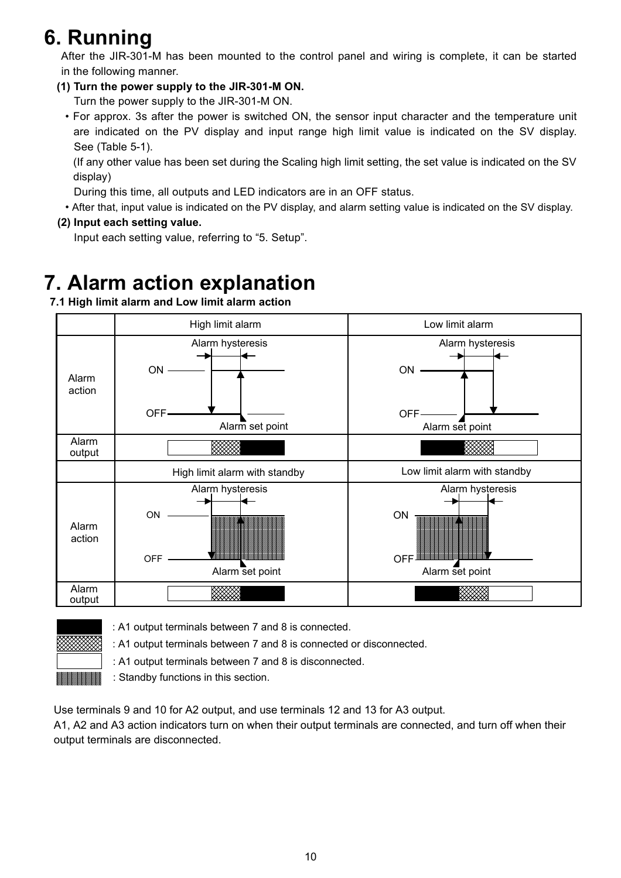# **6. Running**

After the JIR-301-M has been mounted to the control panel and wiring is complete, it can be started in the following manner.

# **(1) Turn the power supply to the JIR-301-M ON.**

Turn the power supply to the JIR-301-M ON.

• For approx. 3s after the power is switched ON, the sensor input character and the temperature unit are indicated on the PV display and input range high limit value is indicated on the SV display. See (Table 5-1).

(If any other value has been set during the Scaling high limit setting, the set value is indicated on the SV display)

During this time, all outputs and LED indicators are in an OFF status.

• After that, input value is indicated on the PV display, and alarm setting value is indicated on the SV display.

# **(2) Input each setting value.**

Input each setting value, referring to "5. Setup".

# **7. Alarm action explanation**

 **7.1 High limit alarm and Low limit alarm action** 





: A1 output terminals between 7 and 8 is connected.

: A1 output terminals between 7 and 8 is connected or disconnected.

**Example 12 in A1 output terminals between 7 and 8 is disconnected.** 

: Standby functions in this section.

Use terminals 9 and 10 for A2 output, and use terminals 12 and 13 for A3 output.

A1, A2 and A3 action indicators turn on when their output terminals are connected, and turn off when their output terminals are disconnected.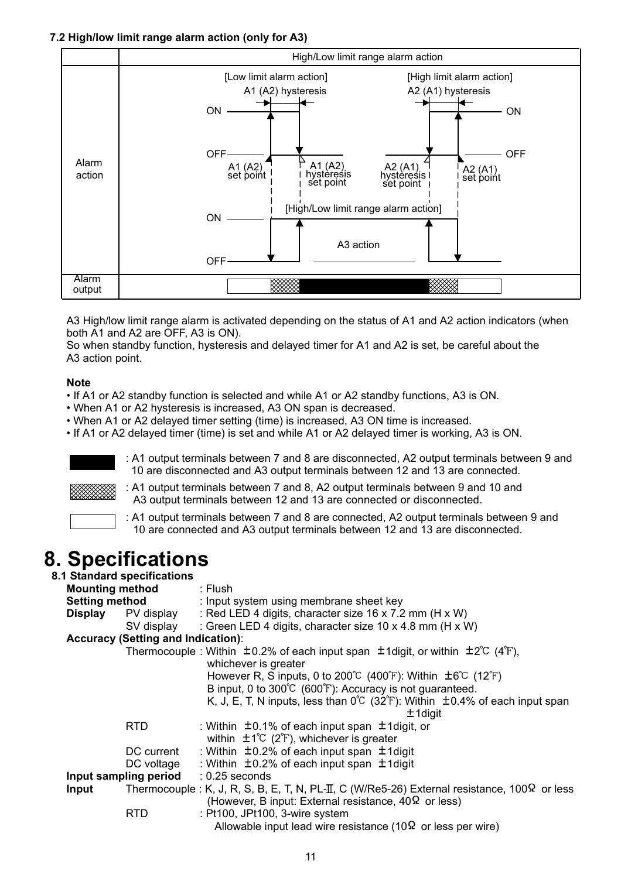# **7.2 High/low limit range alarm action (only for A3)**



A3 High/low limit range alarm is activated depending on the status of A1 and A2 action indicators (when both A1 and A2 are OFF, A3 is ON).

So when standby function, hysteresis and delayed timer for A1 and A2 is set, be careful about the A3 action point.

### **Note**

- If A1 or A2 standby function is selected and while A1 or A2 standby functions, A3 is ON.
- When A1 or A2 hysteresis is increased, A3 ON span is decreased.
- When A1 or A2 delayed timer setting (time) is increased, A3 ON time is increased.
- If A1 or A2 delayed timer (time) is set and while A1 or A2 delayed timer is working, A3 is ON.



: A1 output terminals between 7 and 8 are disconnected, A2 output terminals between 9 and 10 are disconnected and A3 output terminals between 12 and 13 are connected.



 : A1 output terminals between 7 and 8, A2 output terminals between 9 and 10 and A3 output terminals between 12 and 13 are connected or disconnected.



: A1 output terminals between 7 and 8 are connected, A2 output terminals between 9 and 10 are connected and A3 output terminals between 12 and 13 are disconnected.

# **8. Specifications 8.1 Standard specifications**

| <b>Mounting method</b> |                                           | Flush: : Flush                                                                                                                                                     |
|------------------------|-------------------------------------------|--------------------------------------------------------------------------------------------------------------------------------------------------------------------|
| <b>Setting method</b>  |                                           | : Input system using membrane sheet key                                                                                                                            |
| <b>Display</b>         | PV display                                | : Red LED 4 digits, character size 16 x 7.2 mm (H x W)                                                                                                             |
|                        | SV display                                | : Green LED 4 digits, character size 10 x 4.8 mm (H x W)                                                                                                           |
|                        | <b>Accuracy (Setting and Indication):</b> |                                                                                                                                                                    |
|                        |                                           | Thermocouple: Within $\pm$ 0.2% of each input span $\pm$ 1digit, or within $\pm$ 2°C (4°F),<br>whichever is greater                                                |
|                        |                                           | However R, S inputs, 0 to 200 $\degree$ (400 $\degree$ F): Within $\pm 6\degree$ (12 $\degree$ F)                                                                  |
|                        |                                           | B input, 0 to 300°C (600°F): Accuracy is not guaranteed.                                                                                                           |
|                        |                                           | K, J, E, T, N inputs, less than $0^{\circ}C$ (32 $^{\circ}F$ ): Within $\pm 0.4\%$ of each input span                                                              |
|                        |                                           | $±$ 1 digit                                                                                                                                                        |
|                        | RTD.                                      | : Within $\pm$ 0.1% of each input span $\pm$ 1 digit, or                                                                                                           |
|                        |                                           | within $\pm 1^{\circ}C$ (2 $^{\circ}F$ ), whichever is greater                                                                                                     |
|                        | DC current                                | : Within $\pm$ 0.2% of each input span $\pm$ 1 digit                                                                                                               |
|                        | DC voltage                                | : Within $\pm$ 0.2% of each input span $\pm$ 1 digit                                                                                                               |
|                        | Input sampling period                     | $: 0.25$ seconds                                                                                                                                                   |
| <b>Input</b>           |                                           | Thermocouple : K, J, R, S, B, E, T, N, PL-II, C (W/Re5-26) External resistance, $100\Omega$ or less<br>(However, B input: External resistance, $40\Omega$ or less) |
|                        | RTD                                       | : Pt100, JPt100, 3-wire system<br>Allowable input lead wire resistance (10 $\Omega$ or less per wire)                                                              |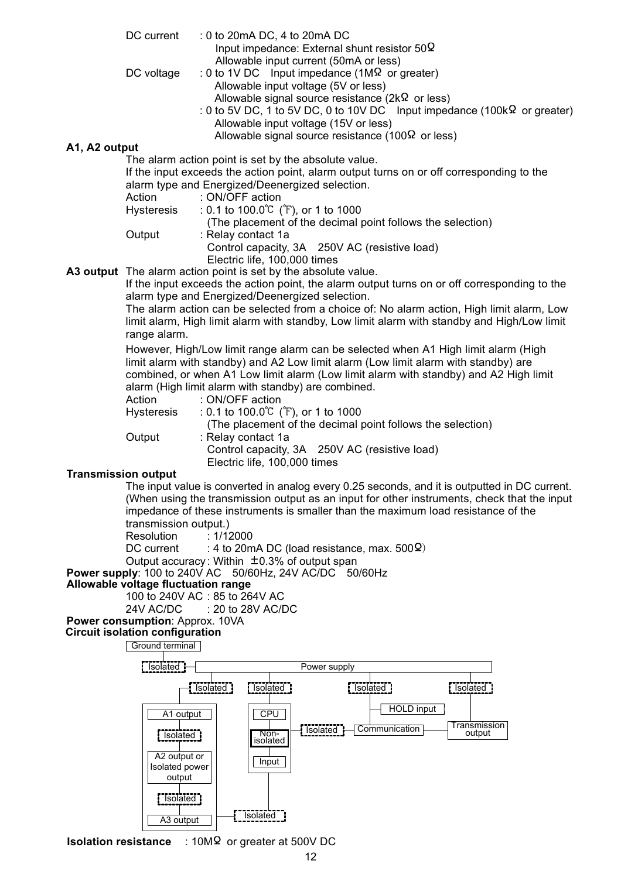- DC current : 0 to 20mA DC, 4 to 20mA DC Input impedance: External shunt resistor  $50\Omega$ Allowable input current (50mA or less)
- DC voltage : 0 to 1V DC Input impedance (1M $\Omega$  or greater) Allowable input voltage (5V or less) Allowable signal source resistance ( $2k\Omega$  or less)
	- : 0 to 5V DC, 1 to 5V DC, 0 to 10V DC Input impedance (100k $\Omega$  or greater) Allowable input voltage (15V or less) Allowable signal source resistance (100 $\Omega$  or less)

#### **A1, A2 output**

The alarm action point is set by the absolute value.

 If the input exceeds the action point, alarm output turns on or off corresponding to the alarm type and Energized/Deenergized selection.

|                   | alami type and Life(gized/Decricigized sciection.          |
|-------------------|------------------------------------------------------------|
| Action            | : ON/OFF action                                            |
| <b>Hysteresis</b> | : 0.1 to $100.0^{\circ}$ ( $\check{r}$ ), or 1 to $1000$   |
|                   | (The placement of the decimal point follows the selection) |
| Output            | : Relay contact 1a                                         |
|                   | Control capacity, 3A 250V AC (resistive load)              |
|                   | Electric life, 100,000 times                               |

**A3 output** The alarm action point is set by the absolute value.

 If the input exceeds the action point, the alarm output turns on or off corresponding to the alarm type and Energized/Deenergized selection.

 The alarm action can be selected from a choice of: No alarm action, High limit alarm, Low limit alarm, High limit alarm with standby, Low limit alarm with standby and High/Low limit range alarm.

 However, High/Low limit range alarm can be selected when A1 High limit alarm (High limit alarm with standby) and A2 Low limit alarm (Low limit alarm with standby) are combined, or when A1 Low limit alarm (Low limit alarm with standby) and A2 High limit alarm (High limit alarm with standby) are combined.

Action : ON/OFF action Hysteresis :  $0.1$  to  $100.0^{\circ}$  ( $\check{r}$ ), or 1 to  $1000$  (The placement of the decimal point follows the selection) Output : Relay contact 1a Control capacity, 3A 250V AC (resistive load) Electric life, 100,000 times

#### **Transmission output**

 The input value is converted in analog every 0.25 seconds, and it is outputted in DC current. (When using the transmission output as an input for other instruments, check that the input impedance of these instruments is smaller than the maximum load resistance of the transmission output.)

Resolution : 1/12000

DC current : 4 to 20mA DC (load resistance, max.  $500\Omega$ )

Output accuracy: Within  $\pm$ 0.3% of output span

**Power supply**: 100 to 240V AC 50/60Hz, 24V AC/DC 50/60Hz

#### **Allowable voltage fluctuation range**

100 to 240V AC : 85 to 264V AC 24V AC/DC : 20 to 28V AC/DC

# **Power consumption**: Approx. 10VA

**Circuit isolation configuration**



**Isolation resistance** : 10M<sup>Ω</sup> or greater at 500V DC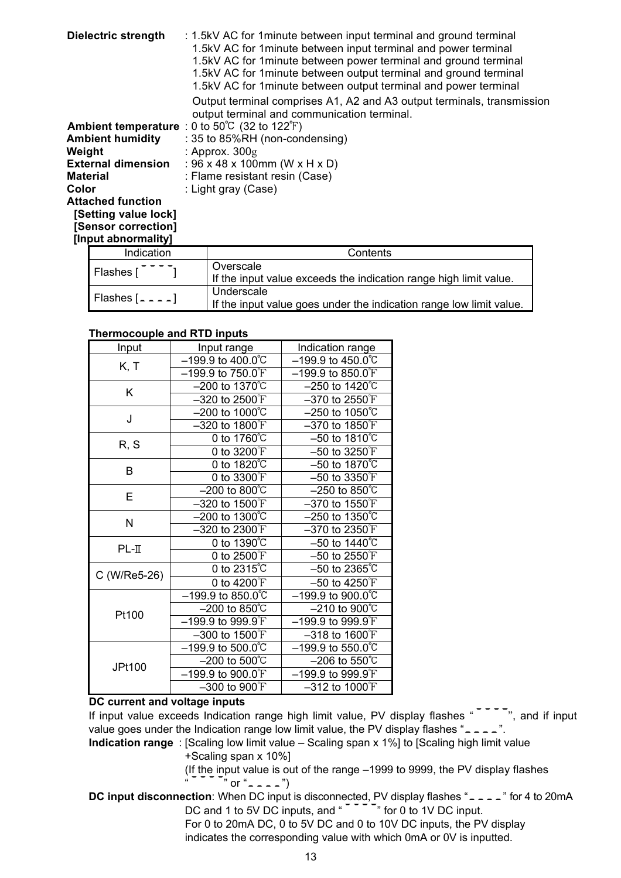| <b>Dielectric strength</b> | : 1.5kV AC for 1 minute between input terminal and ground terminal                                                    |
|----------------------------|-----------------------------------------------------------------------------------------------------------------------|
|                            | 1.5kV AC for 1 minute between input terminal and power terminal                                                       |
|                            | 1.5kV AC for 1 minute between power terminal and ground terminal                                                      |
|                            | 1.5kV AC for 1 minute between output terminal and ground terminal                                                     |
|                            | 1.5kV AC for 1 minute between output terminal and power terminal                                                      |
|                            | Output terminal comprises A1, A2 and A3 output terminals, transmission<br>output terminal and communication terminal. |
|                            | Ambient temperature : 0 to $50^{\circ}$ C (32 to 122 $^{\circ}$ F)                                                    |
| <b>Ambient humidity</b>    | : 35 to 85%RH (non-condensing)                                                                                        |
| Weight                     | : Approx. $300g$                                                                                                      |
| <b>External dimension</b>  | : $96 \times 48 \times 100$ mm (W x H x D)                                                                            |
| <b>Material</b>            | : Flame resistant resin (Case)                                                                                        |
| Color                      | : Light gray (Case)                                                                                                   |
| <b>Attached function</b>   |                                                                                                                       |
| [Setting value lock]       |                                                                                                                       |
| [Sensor correction]        |                                                                                                                       |
| [Input abnormality]        |                                                                                                                       |
| Indication                 | Contante                                                                                                              |

| Indication        | Contents                                                                          |
|-------------------|-----------------------------------------------------------------------------------|
| Flashes           | Overscale<br>If the input value exceeds the indication range high limit value.    |
| Flashes $[- - -]$ | Underscale<br>If the input value goes under the indication range low limit value. |

### **Thermocouple and RTD inputs**

| Input        | Input range                                       | Indication range                     |
|--------------|---------------------------------------------------|--------------------------------------|
| K, T         | $-199.9$ to $400.0^{\circ}$ C                     | $-199.9$ to $450.0^{\circ}$ C        |
|              | $-199.9$ to $750.0$ <sup>°</sup> F                | $-199.9$ to 850.0 $F$                |
| K            | $-200$ to 1370 $°C$                               | $-250$ to 1420°C                     |
|              | $-320$ to 2500 $\mathrm{F}$                       | $-370$ to 2550 $\mathrm{F}$          |
| J            | $-200$ to 1000°C                                  | $-250$ to 1050°C                     |
|              | $-320$ to 1800 $\rm F$                            | $-370$ to 1850 $F$                   |
| R, S         | 0 to $1760^{\circ}$ C                             | $-50$ to 18 $\overline{10^{\circ}C}$ |
|              | 0 to $3200^{\circ}$ F                             | $-50$ to 3250 $F$                    |
| B            | 0 to $1820^{\circ}$                               | $-50$ to 1870℃                       |
|              | 0 to 3300 F                                       | $-50$ to 3350 $\mathrm{F}$           |
| Е            | $-200$ to $800^{\circ}$ C                         | $-250$ to 850 $\overline{C}$         |
|              | $-320$ to $1500$ <sup>°</sup> F                   | $-370$ to 1550 $\mathrm{F}$          |
| N            | $-200$ to 1300 $\degree$ C                        | $-250$ to 1350°C                     |
|              | $-320$ to 2300 $F$                                | $-370$ to 2350 $F$                   |
| $PL-II$      | 0 to 1390°C                                       | $-50$ to 1440℃                       |
|              | 0 to $2500$ <sup><math>\textdegree</math></sup> F | $-50$ to 2550 $\mathrm{F}$           |
| C (W/Re5-26) | 0 to 2315℃                                        | $-50$ to 2365 $°C$                   |
|              | 0 to 4200°F                                       | $-50$ to 4250 $\mathrm{F}$           |
|              | $-199.9$ to 850.0°C                               | $-199.9$ to $900.0^{\circ}$ C        |
| Pt100        | $-200$ to 850°C                                   | $-210$ to $900^{\circ}$ C            |
|              | $-199.9$ to $999.9$ <sup>°</sup> F                | $-199.9$ to $999.9$ <sup>T</sup>     |
|              | $-300$ to 1500 $\rm F$                            | $-318$ to $1600$ <sup>°</sup> F      |
|              | -199.9 to 500.0℃                                  | $-199.9$ to 550.0°C                  |
| JPt100       | $-200$ to $500^{\circ}$ C                         | $-206$ to 550°C                      |
|              | $-199.9$ to $900.0$ <sup>°</sup> F                | $-199.9$ to 999.9 F                  |
|              | $-300$ to $900^{\circ}$ F                         | $-312$ to $1000$ <sup>°</sup> F      |

#### **DC current and voltage inputs**

If input value exceeds Indication range high limit value, PV display flashes  $10^{-7}$ , and if input value goes under the Indication range low limit value, the PV display flashes " $- - -$ ".

**Indication range** : [Scaling low limit value – Scaling span x 1%] to [Scaling high limit value +Scaling span x 10%]

(If the input value is out of the range –1999 to 9999, the PV display flashes  $\overline{ }$   $\overline{ }$  " or "  $\overline{ }$   $\overline{ }$   $\overline{ }$   $\overline{ }$   $\overline{ }$   $\overline{ }$   $\overline{ }$   $\overline{ }$   $\overline{ }$   $\overline{ }$   $\overline{ }$   $\overline{ }$   $\overline{ }$   $\overline{ }$   $\overline{ }$   $\overline{ }$   $\overline{ }$   $\overline{ }$   $\overline{ }$   $\overline{ }$   $\overline{ }$   $\overline{ }$   $\overline{ }$   $\overline{ }$   $\overline{ }$ 

**DC input disconnection**: When DC input is disconnected, PV display flashes "<sub>---</sub>" for 4 to 20mA DC and 1 to 5V DC inputs, and " The 0 to 1V DC input. For 0 to 20mA DC, 0 to 5V DC and 0 to 10V DC inputs, the PV display indicates the corresponding value with which 0mA or 0V is inputted.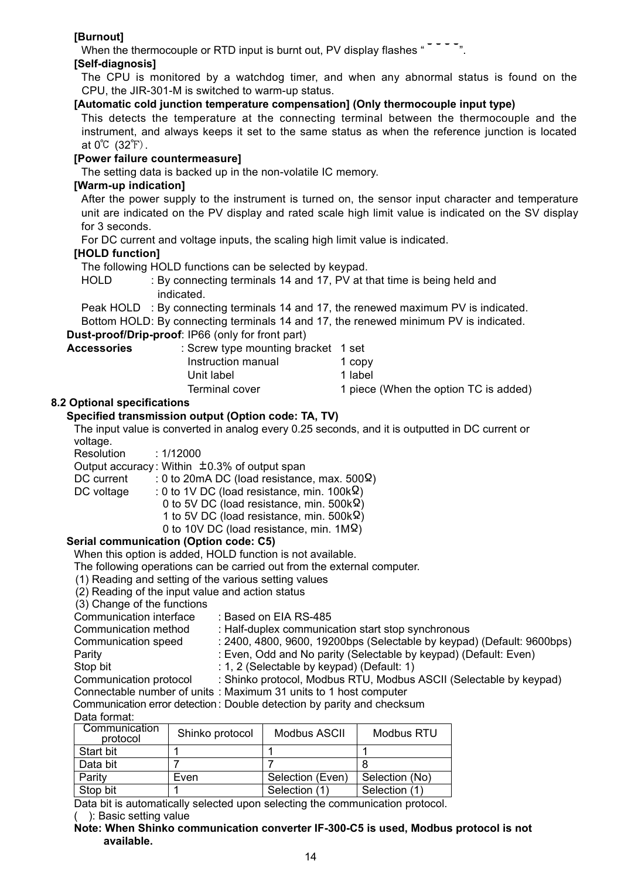# **[Burnout]**

When the thermocouple or RTD input is burnt out, PV display flashes " $\frac{1}{2}$ " =  $\frac{1}{2}$ ".

### **[Self-diagnosis]**

The CPU is monitored by a watchdog timer, and when any abnormal status is found on the CPU, the JIR-301-M is switched to warm-up status.

### **[Automatic cold junction temperature compensation] (Only thermocouple input type)**

This detects the temperature at the connecting terminal between the thermocouple and the instrument, and always keeps it set to the same status as when the reference junction is located at  $0^{\circ}$  (32 $^{\circ}$ F).

### **[Power failure countermeasure]**

The setting data is backed up in the non-volatile IC memory.

### **[Warm-up indication]**

After the power supply to the instrument is turned on, the sensor input character and temperature unit are indicated on the PV display and rated scale high limit value is indicated on the SV display for 3 seconds.

For DC current and voltage inputs, the scaling high limit value is indicated.

### **[HOLD function]**

The following HOLD functions can be selected by keypad.

HOLD : By connecting terminals 14 and 17, PV at that time is being held and indicated.

Peak HOLD : By connecting terminals 14 and 17, the renewed maximum PV is indicated. Bottom HOLD: By connecting terminals 14 and 17, the renewed minimum PV is indicated.

#### **Dust-proof/Drip-proof**: IP66 (only for front part) Accessories **by**

| Accessories | : Screw type mounting bracket 1 set |                                       |
|-------------|-------------------------------------|---------------------------------------|
|             | Instruction manual                  | 1 copy                                |
|             | Unit label                          | 1 label                               |
|             | Terminal cover                      | 1 piece (When the option TC is added) |
|             |                                     |                                       |

### **8.2 Optional specifications**

### **Specified transmission output (Option code: TA, TV)**

The input value is converted in analog every 0.25 seconds, and it is outputted in DC current or voltage.

Resolution : 1/12000

Output accuracy: Within  $\pm 0.3$ % of output span

DC current : 0 to 20mA DC (load resistance, max.  $500\Omega$ )

- DC voltage : 0 to 1V DC (load resistance, min.  $100k\Omega$ )
	- 0 to 5V DC (load resistance, min. 500 $k\Omega$ )
	- 1 to 5V DC (load resistance, min. 500 $k\Omega$ )
	- 0 to 10V DC (load resistance, min.  $1\text{M}\Omega$ )

### **Serial communication (Option code: C5)**

When this option is added, HOLD function is not available.

The following operations can be carried out from the external computer.

- (1) Reading and setting of the various setting values
- (2) Reading of the input value and action status

(3) Change of the functions

| (3) Unange of the functions                                            |                 |                                                                  |                   |                                                                        |
|------------------------------------------------------------------------|-----------------|------------------------------------------------------------------|-------------------|------------------------------------------------------------------------|
| Communication interface                                                |                 | : Based on EIA RS-485                                            |                   |                                                                        |
| Communication method                                                   |                 | : Half-duplex communication start stop synchronous               |                   |                                                                        |
| Communication speed                                                    |                 |                                                                  |                   | : 2400, 4800, 9600, 19200bps (Selectable by keypad) (Default: 9600bps) |
| Parity                                                                 |                 | : Even, Odd and No parity (Selectable by keypad) (Default: Even) |                   |                                                                        |
| Stop bit                                                               |                 | : 1, 2 (Selectable by keypad) (Default: 1)                       |                   |                                                                        |
| Communication protocol                                                 |                 |                                                                  |                   | : Shinko protocol, Modbus RTU, Modbus ASCII (Selectable by keypad)     |
| Connectable number of units: Maximum 31 units to 1 host computer       |                 |                                                                  |                   |                                                                        |
| Communication error detection: Double detection by parity and checksum |                 |                                                                  |                   |                                                                        |
| Data format:                                                           |                 |                                                                  |                   |                                                                        |
| Communication<br>protocol.                                             | Shinko protocol | Modbus ASCII                                                     | <b>Modbus RTU</b> |                                                                        |

| Dala IVIIIIal. |              |  |  |
|----------------|--------------|--|--|
|                | Communicatio |  |  |

| COMMUNICATION<br>protocol | Shinko protocol | Modbus ASCII     | Modbus RTU     |
|---------------------------|-----------------|------------------|----------------|
| Start bit                 |                 |                  |                |
| Data bit                  |                 |                  |                |
| Parity                    | Even            | Selection (Even) | Selection (No) |
| Stop bit                  |                 | Selection (1)    | Selection (1)  |
|                           |                 |                  |                |

Data bit is automatically selected upon selecting the communication protocol. ( ): Basic setting value

**Note: When Shinko communication converter IF-300-C5 is used, Modbus protocol is not available.**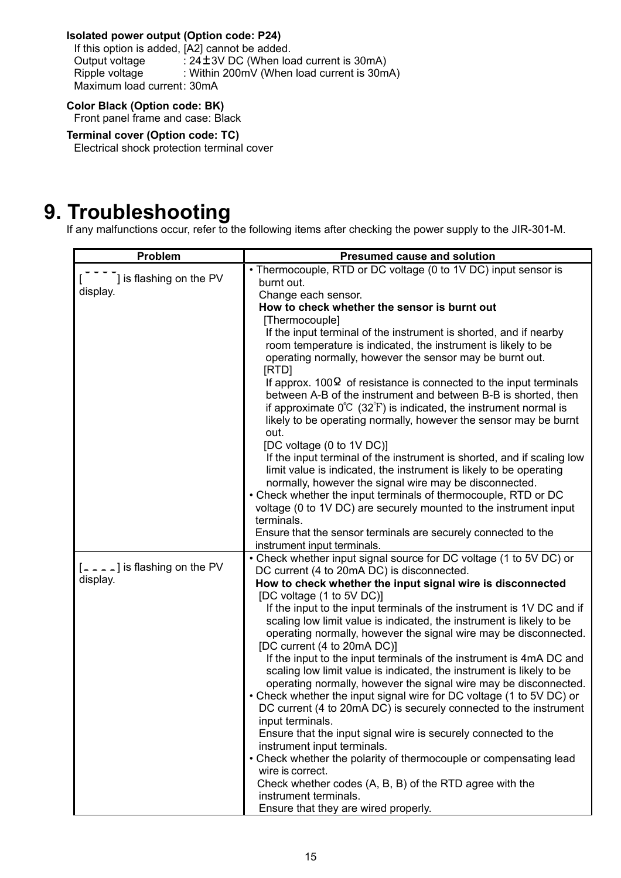## **Isolated power output (Option code: P24)**

If this option is added, [A2] cannot be added. Output voltage  $\therefore$  24 ± 3V DC (When load current is 30mA) Ripple voltage : Within 200mV (When load current is 30mA) Maximum load current: 30mA

# **Color Black (Option code: BK)**

Front panel frame and case: Black

**Terminal cover (Option code: TC)**  Electrical shock protection terminal cover

# **9. Troubleshooting**

If any malfunctions occur, refer to the following items after checking the power supply to the JIR-301-M.

| Problem                         | <b>Presumed cause and solution</b>                                                                                                                     |
|---------------------------------|--------------------------------------------------------------------------------------------------------------------------------------------------------|
|                                 | • Thermocouple, RTD or DC voltage (0 to 1V DC) input sensor is                                                                                         |
| ] is flashing on the PV         | burnt out.                                                                                                                                             |
| display.                        | Change each sensor.                                                                                                                                    |
|                                 | How to check whether the sensor is burnt out                                                                                                           |
|                                 | [Thermocouple]                                                                                                                                         |
|                                 | If the input terminal of the instrument is shorted, and if nearby                                                                                      |
|                                 | room temperature is indicated, the instrument is likely to be                                                                                          |
|                                 | operating normally, however the sensor may be burnt out.                                                                                               |
|                                 | [RTD]                                                                                                                                                  |
|                                 | If approx. $100\Omega$ of resistance is connected to the input terminals                                                                               |
|                                 | between A-B of the instrument and between B-B is shorted, then<br>if approximate $0^{\circ}C$ (32 $^{\circ}F$ ) is indicated, the instrument normal is |
|                                 | likely to be operating normally, however the sensor may be burnt                                                                                       |
|                                 | out.                                                                                                                                                   |
|                                 | [DC voltage (0 to 1V DC)]                                                                                                                              |
|                                 | If the input terminal of the instrument is shorted, and if scaling low                                                                                 |
|                                 | limit value is indicated, the instrument is likely to be operating                                                                                     |
|                                 | normally, however the signal wire may be disconnected.                                                                                                 |
|                                 | • Check whether the input terminals of thermocouple, RTD or DC                                                                                         |
|                                 | voltage (0 to 1V DC) are securely mounted to the instrument input                                                                                      |
|                                 | terminals.                                                                                                                                             |
|                                 | Ensure that the sensor terminals are securely connected to the                                                                                         |
|                                 | instrument input terminals.                                                                                                                            |
| $[- - -]$ is flashing on the PV | • Check whether input signal source for DC voltage (1 to 5V DC) or                                                                                     |
| display.                        | DC current (4 to 20mA DC) is disconnected.                                                                                                             |
|                                 | How to check whether the input signal wire is disconnected                                                                                             |
|                                 | [DC voltage (1 to 5V DC)]                                                                                                                              |
|                                 | If the input to the input terminals of the instrument is 1V DC and if                                                                                  |
|                                 | scaling low limit value is indicated, the instrument is likely to be                                                                                   |
|                                 | operating normally, however the signal wire may be disconnected.                                                                                       |
|                                 | [DC current (4 to 20mA DC)]<br>If the input to the input terminals of the instrument is 4mA DC and                                                     |
|                                 | scaling low limit value is indicated, the instrument is likely to be                                                                                   |
|                                 | operating normally, however the signal wire may be disconnected.                                                                                       |
|                                 | • Check whether the input signal wire for DC voltage (1 to 5V DC) or                                                                                   |
|                                 | DC current (4 to 20mA DC) is securely connected to the instrument                                                                                      |
|                                 | input terminals.                                                                                                                                       |
|                                 | Ensure that the input signal wire is securely connected to the                                                                                         |
|                                 | instrument input terminals.                                                                                                                            |
|                                 | • Check whether the polarity of thermocouple or compensating lead                                                                                      |
|                                 | wire is correct.                                                                                                                                       |
|                                 | Check whether codes (A, B, B) of the RTD agree with the                                                                                                |
|                                 | instrument terminals.                                                                                                                                  |
|                                 | Ensure that they are wired properly.                                                                                                                   |